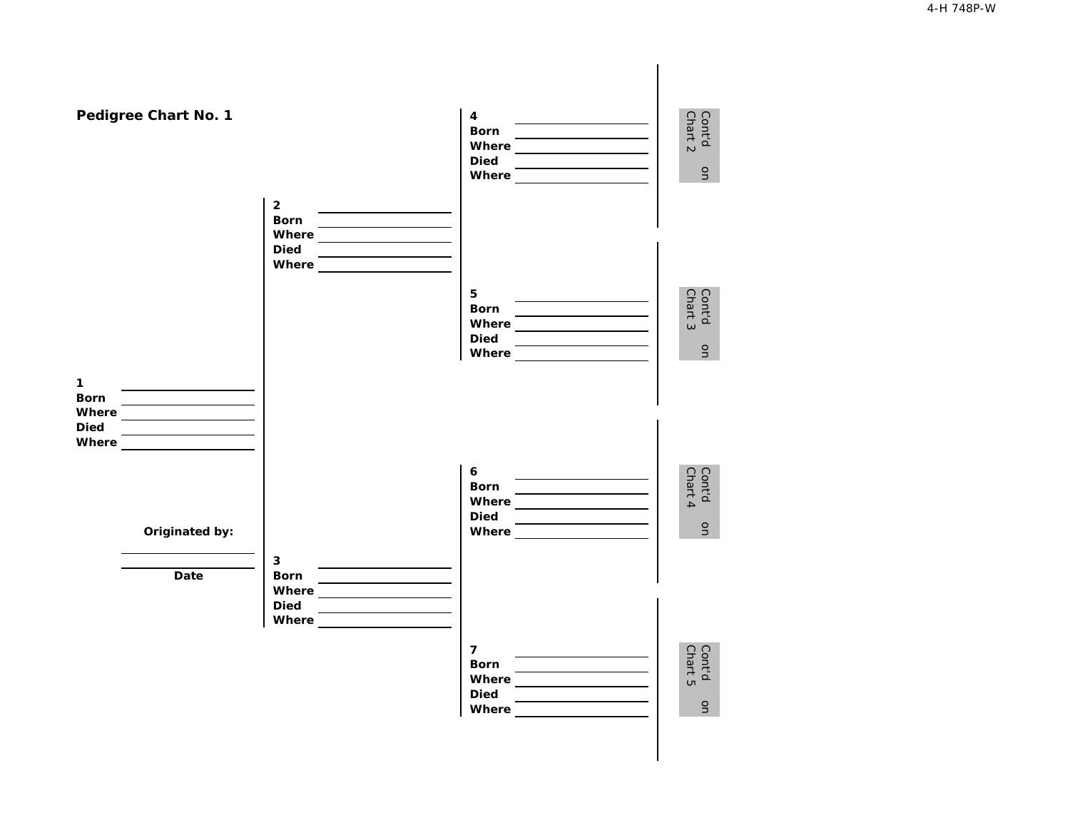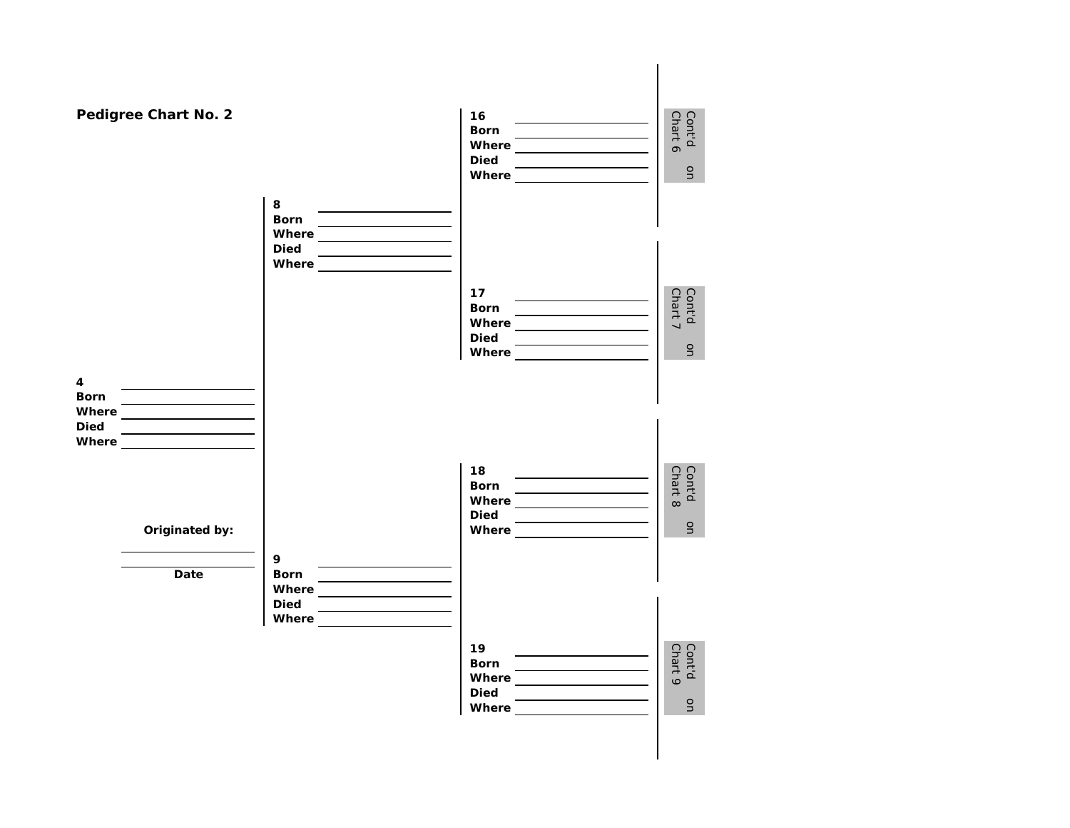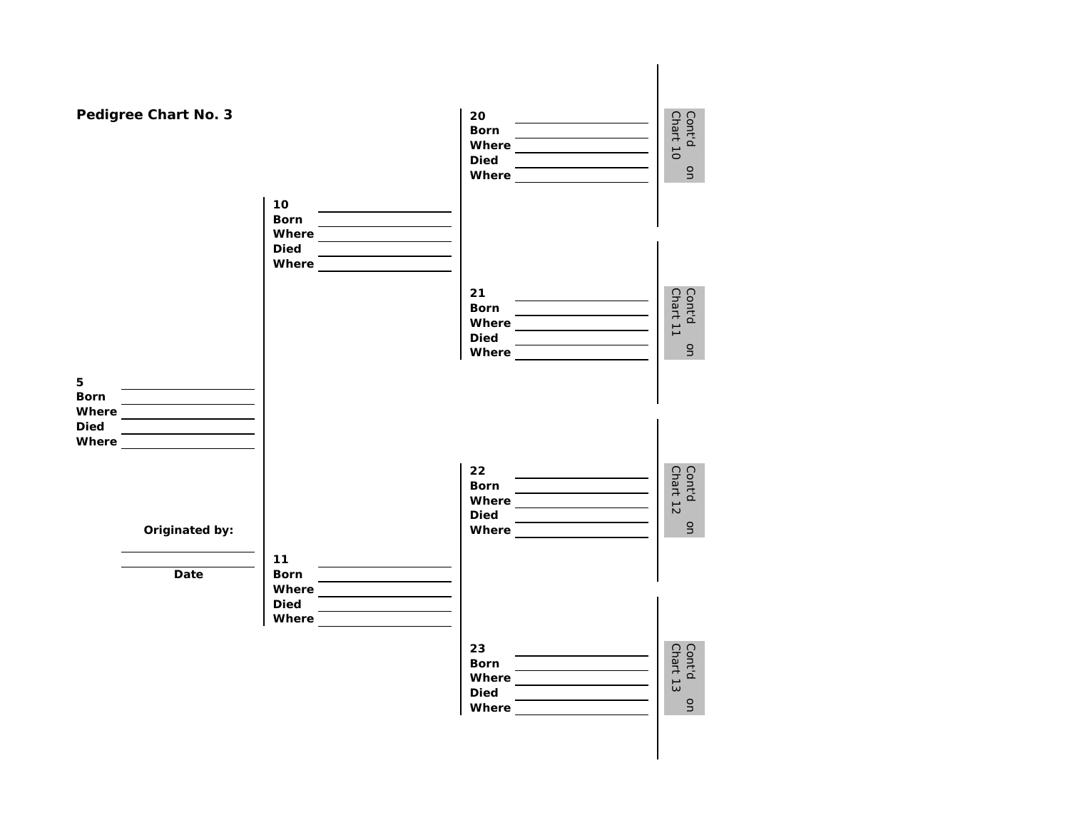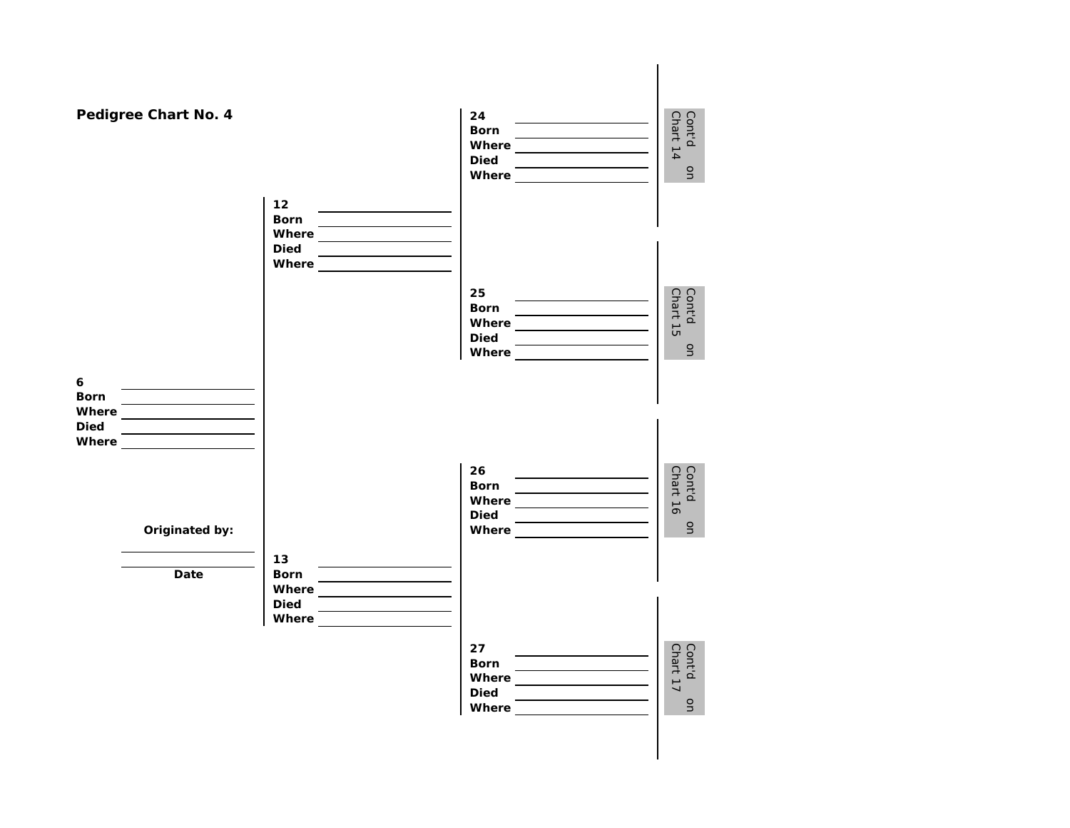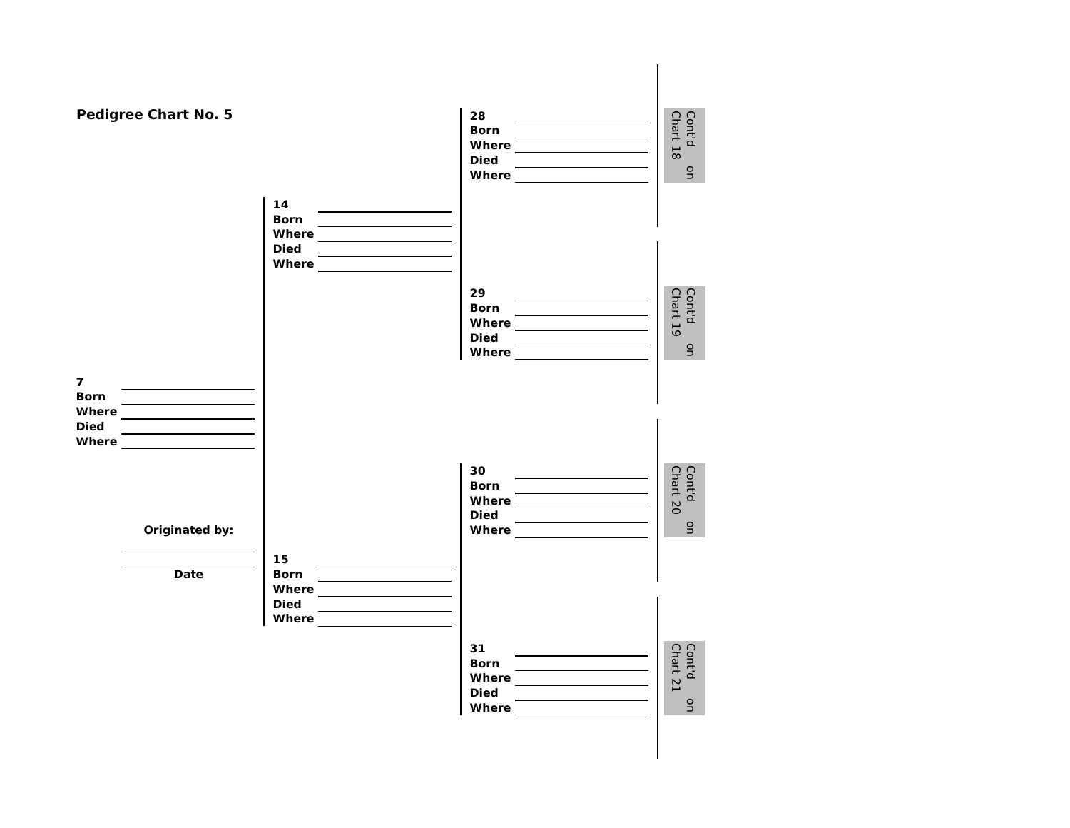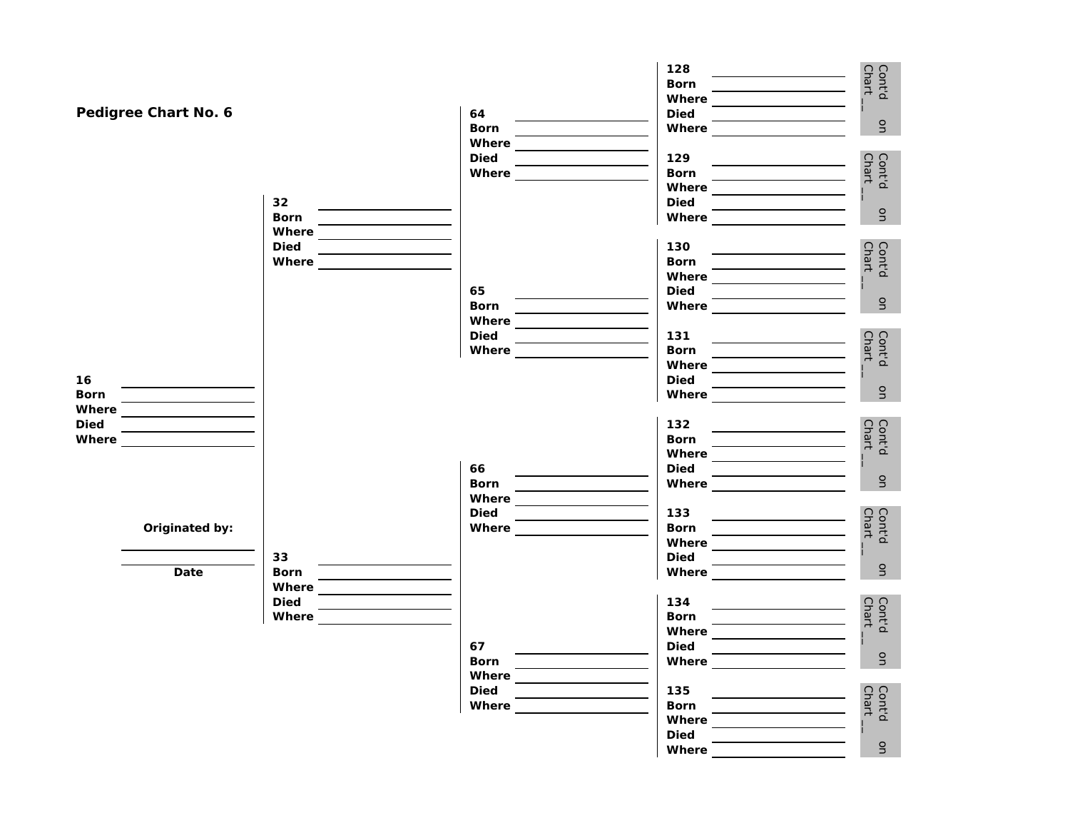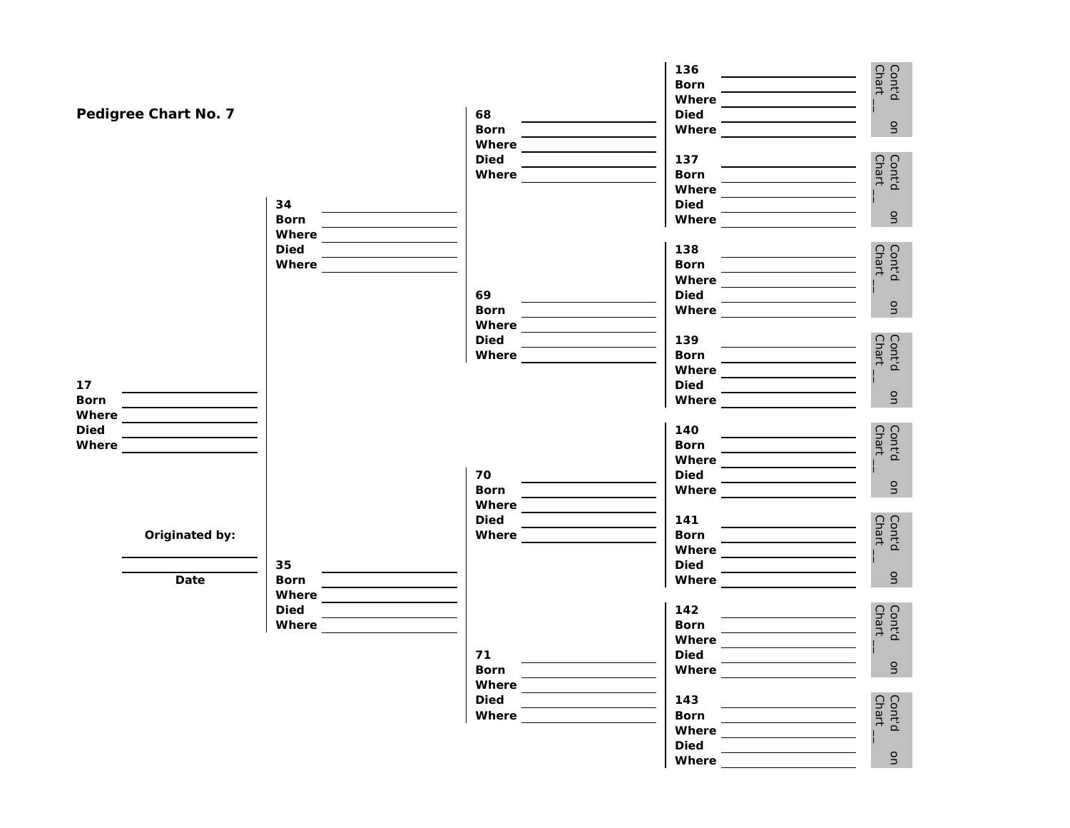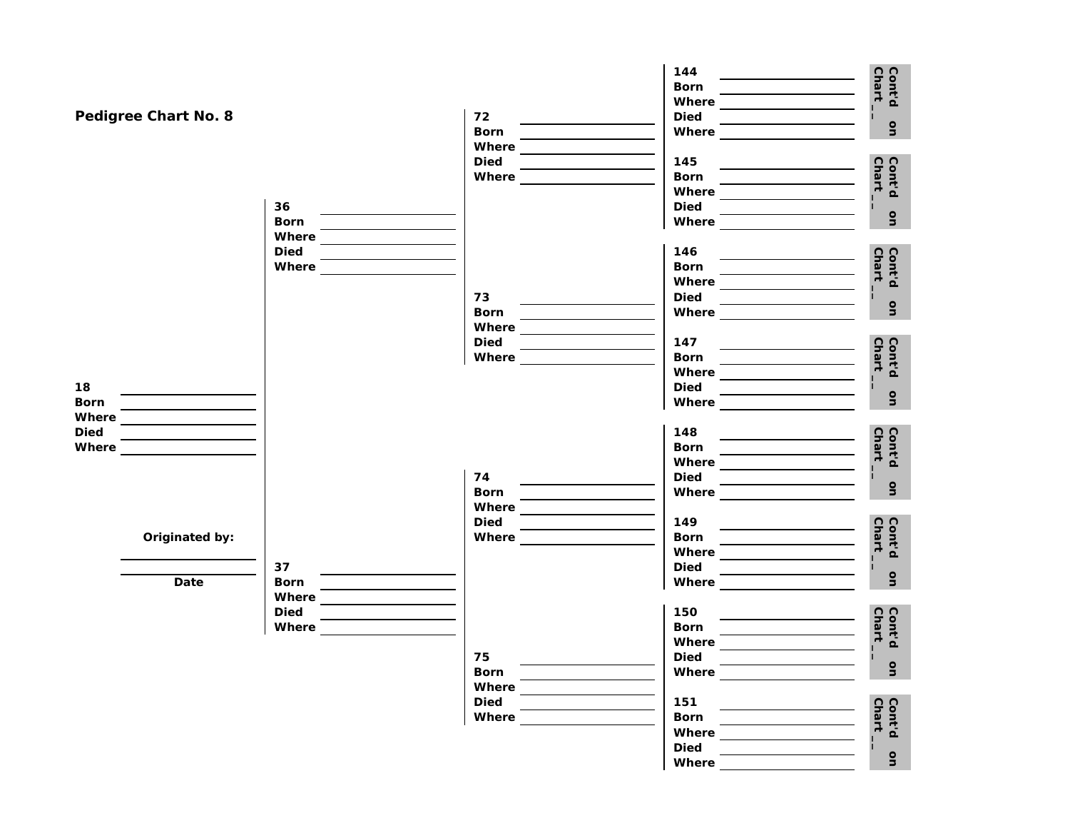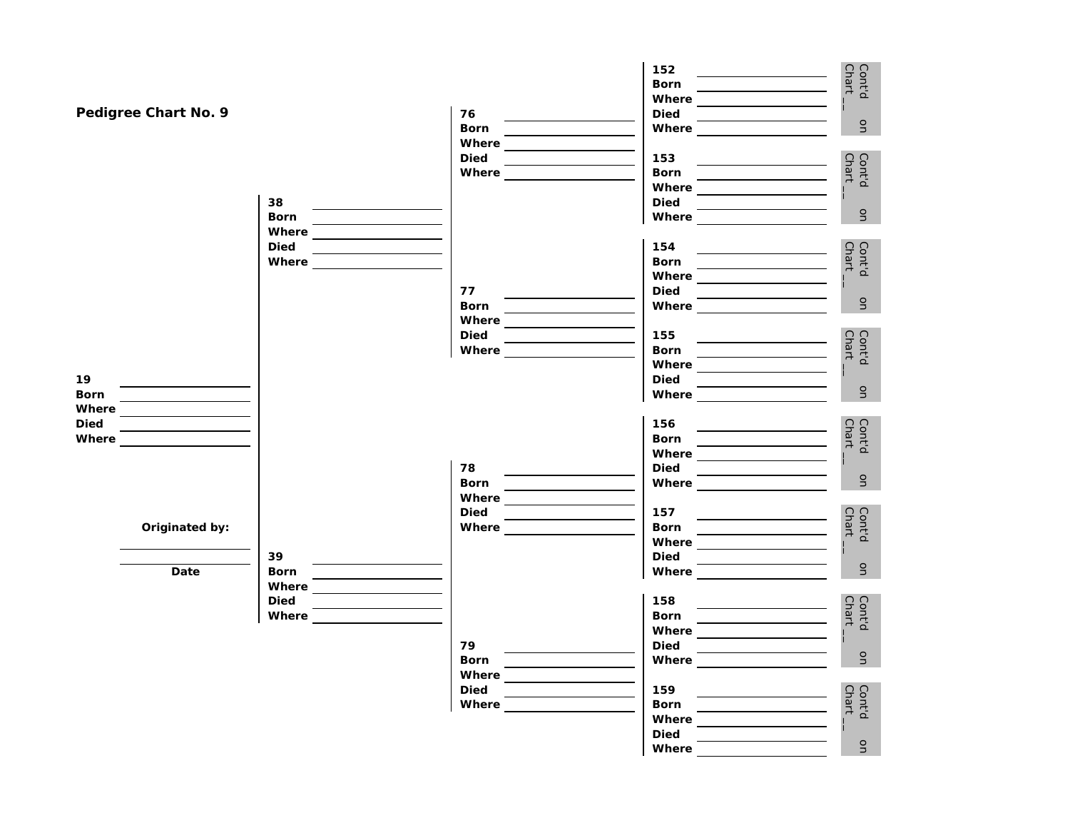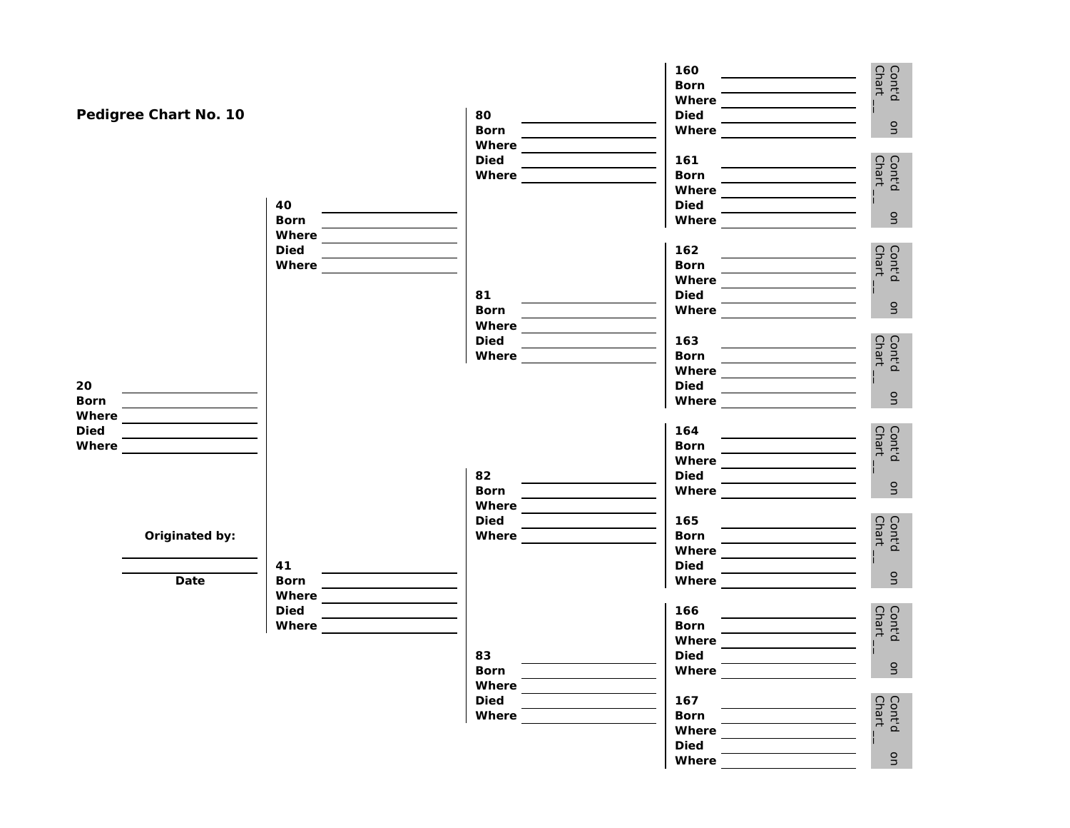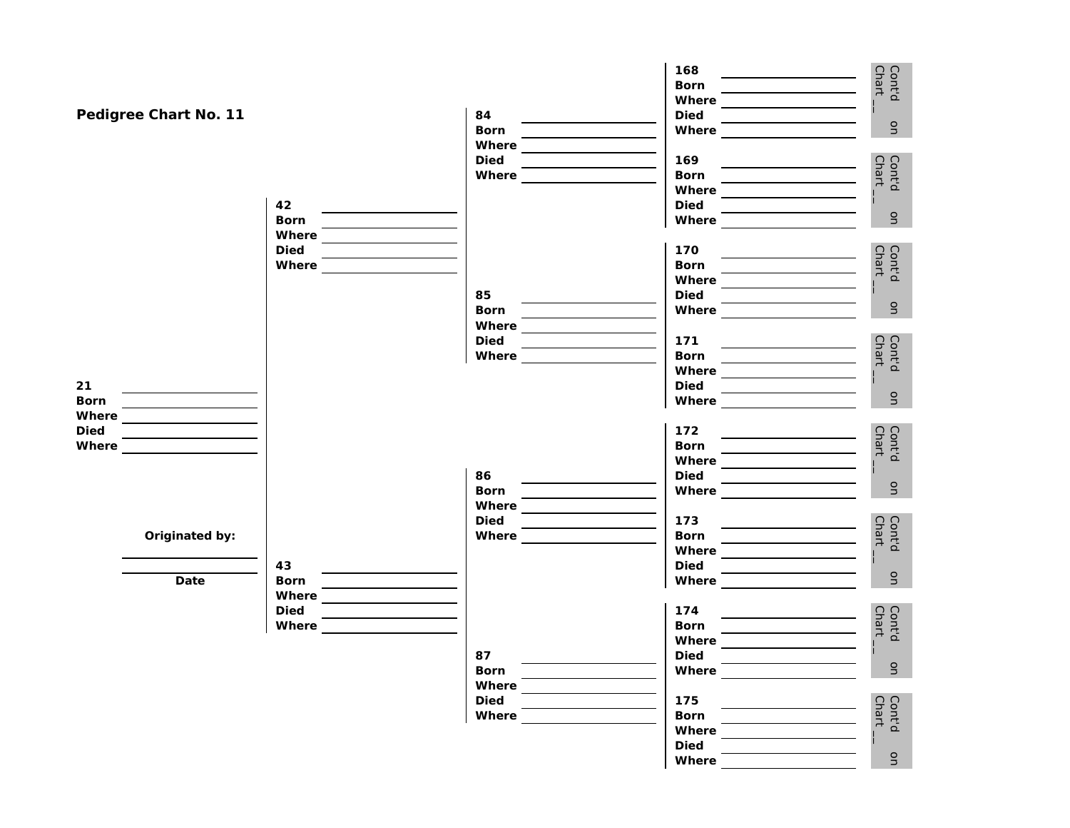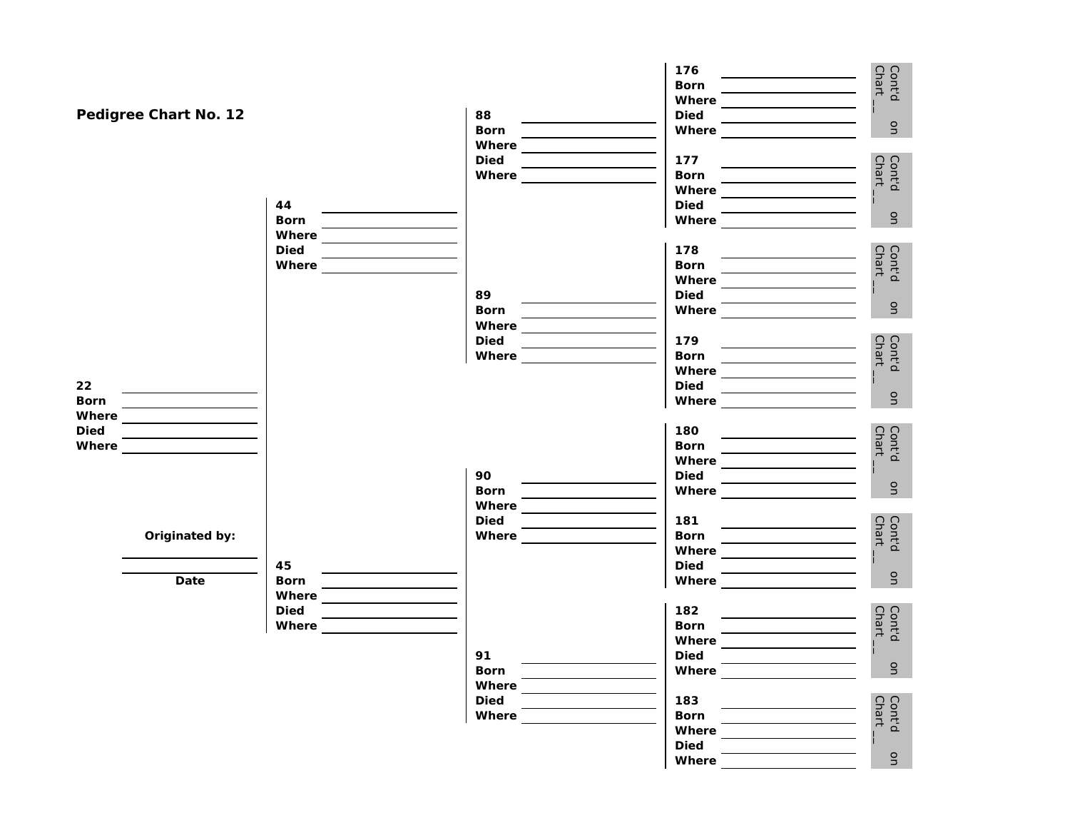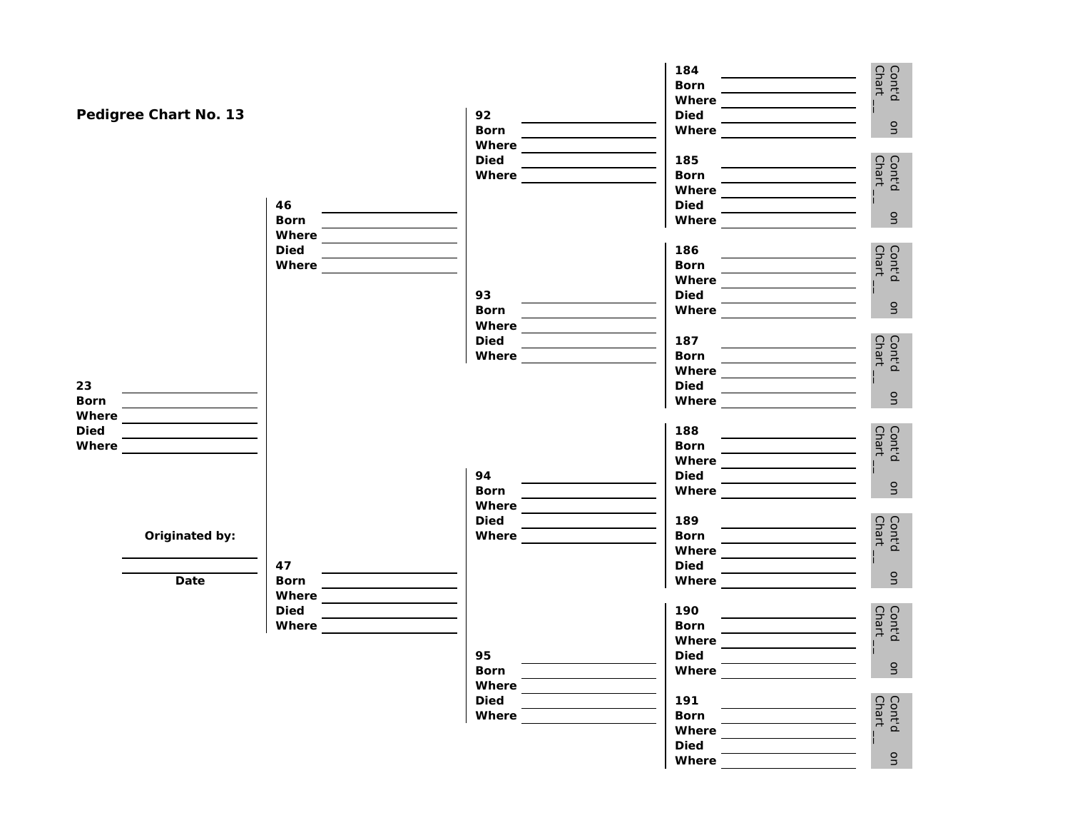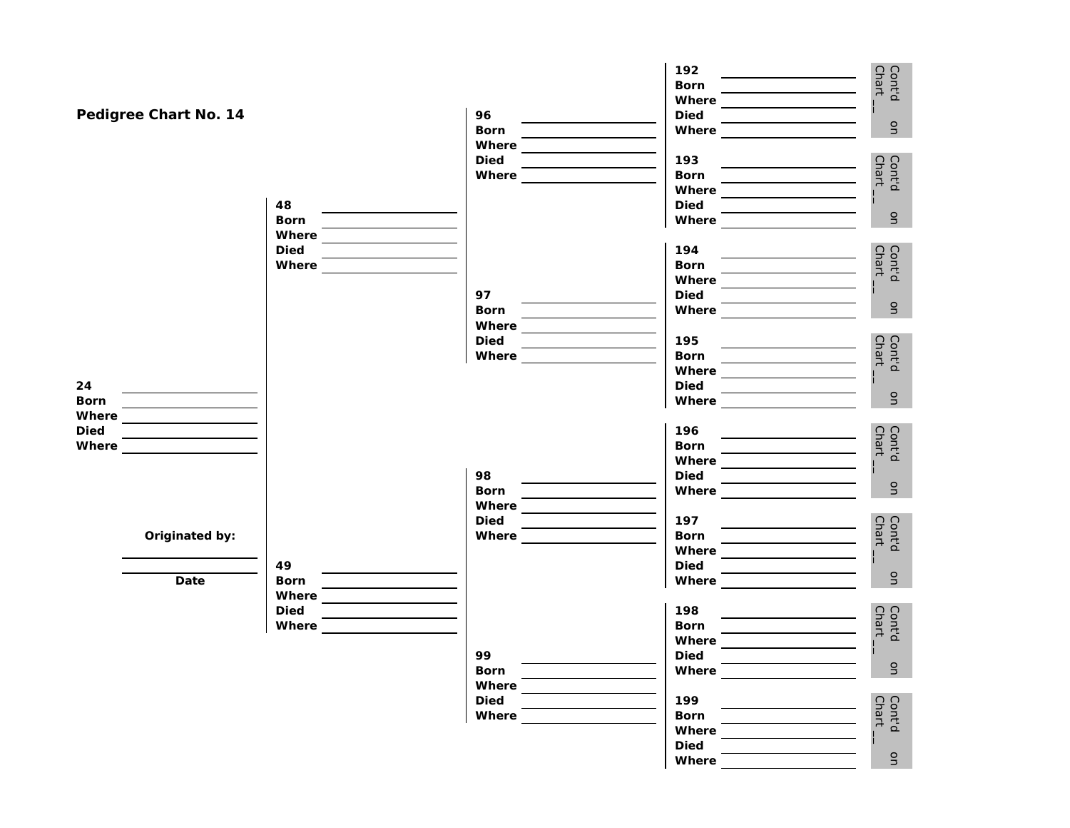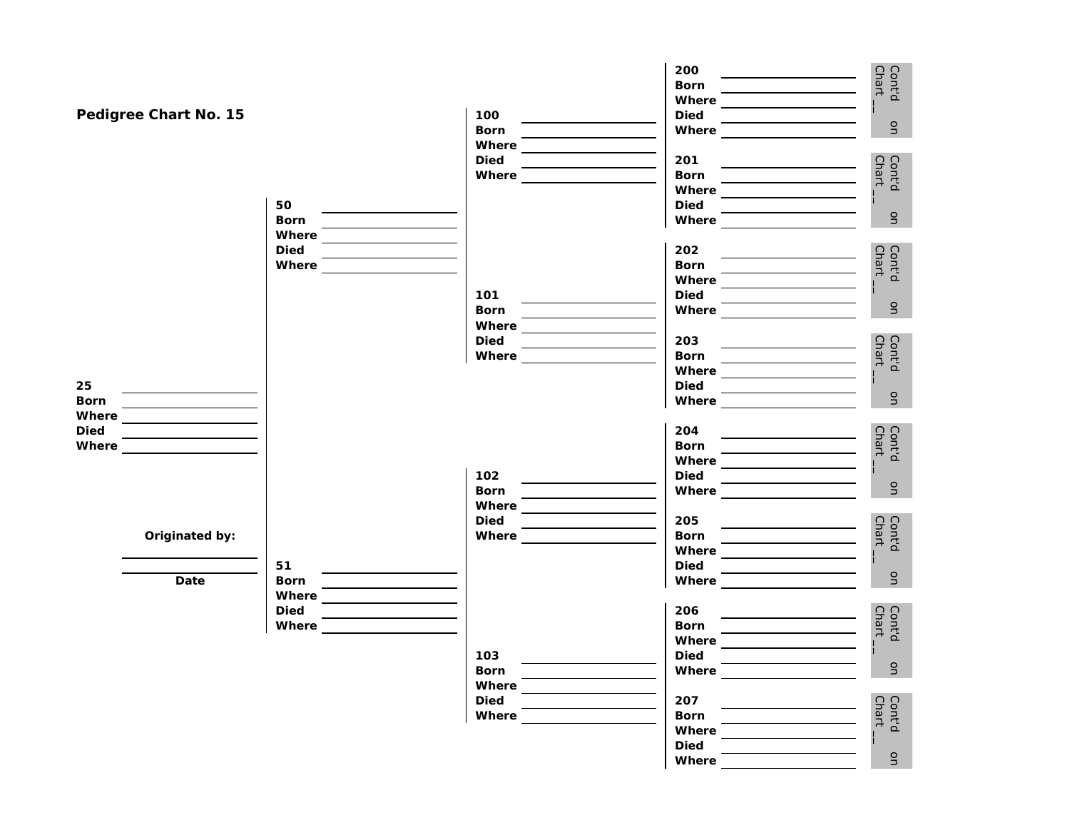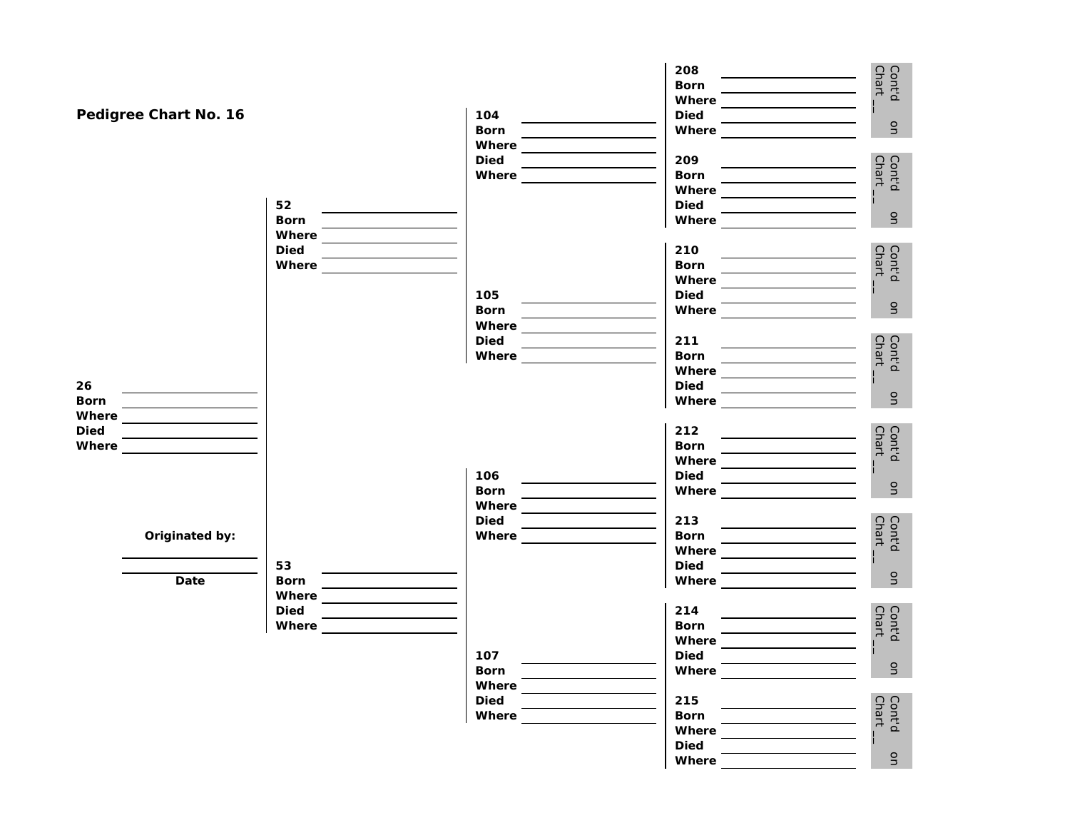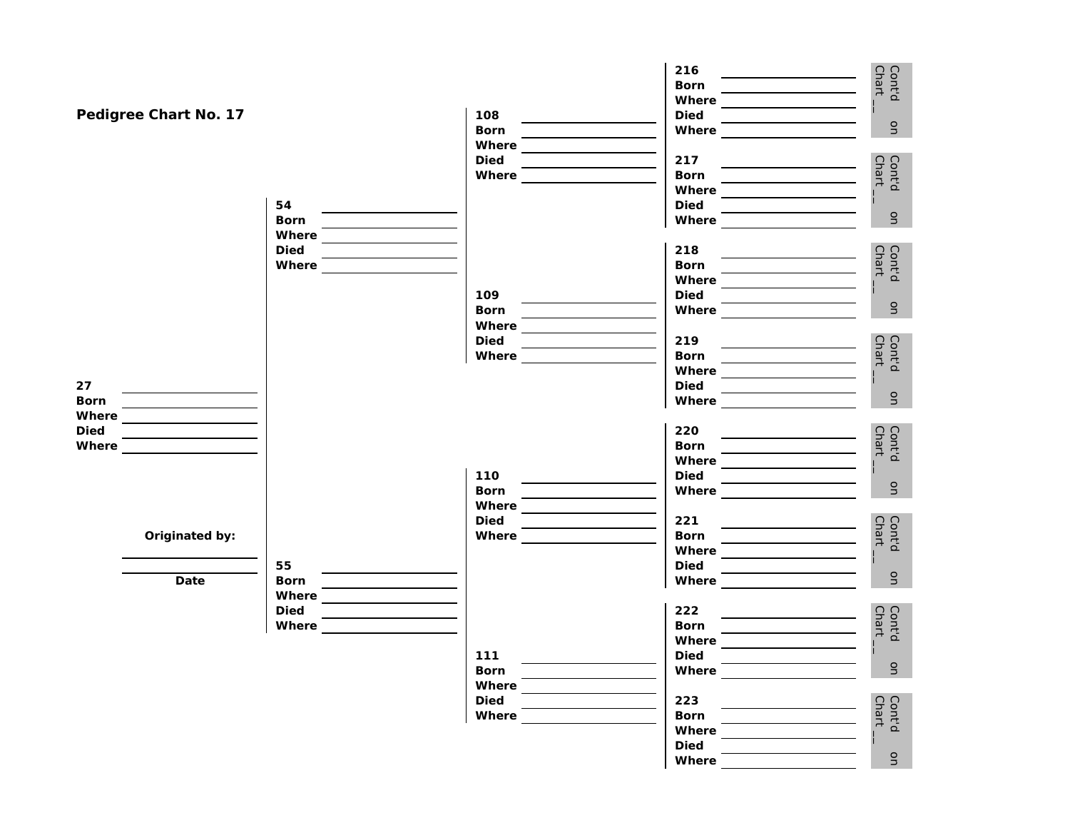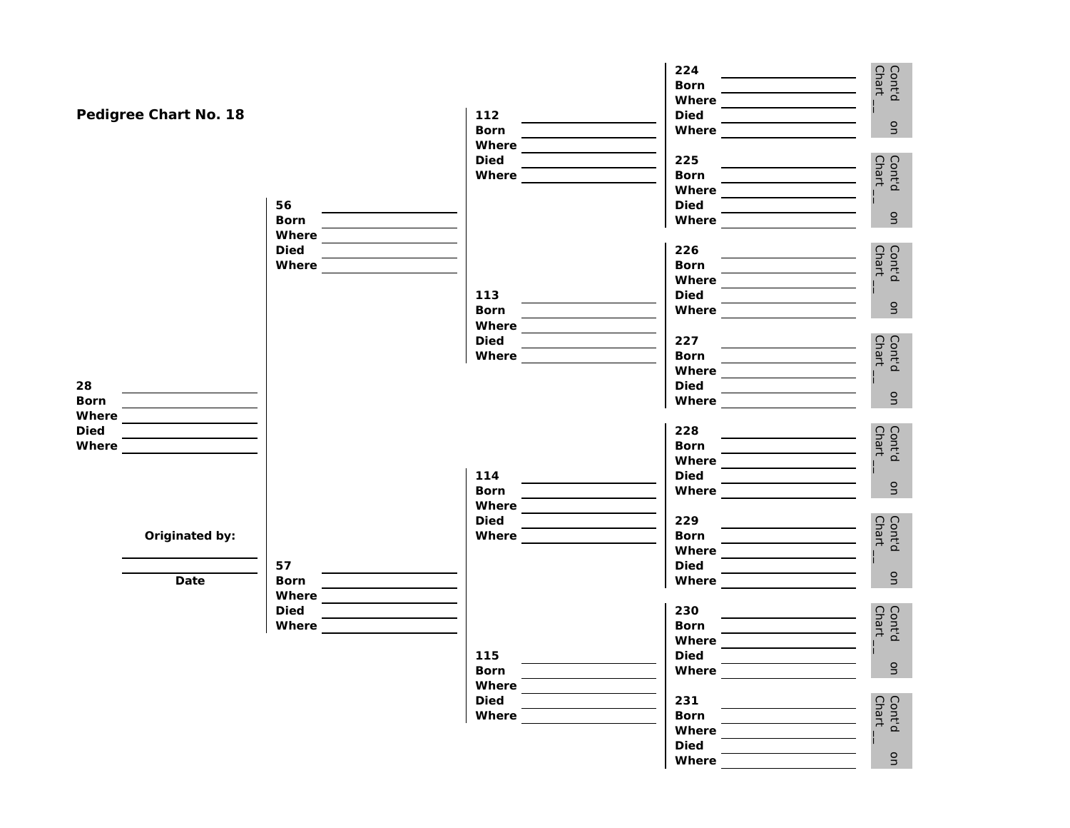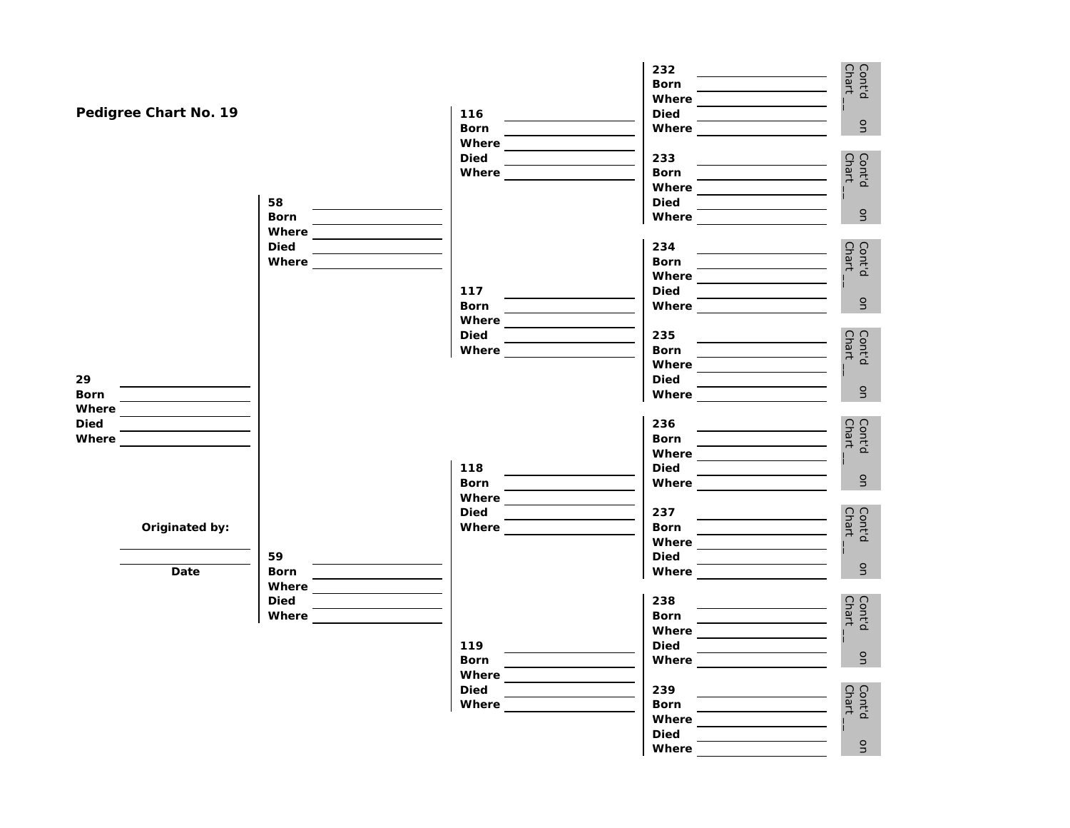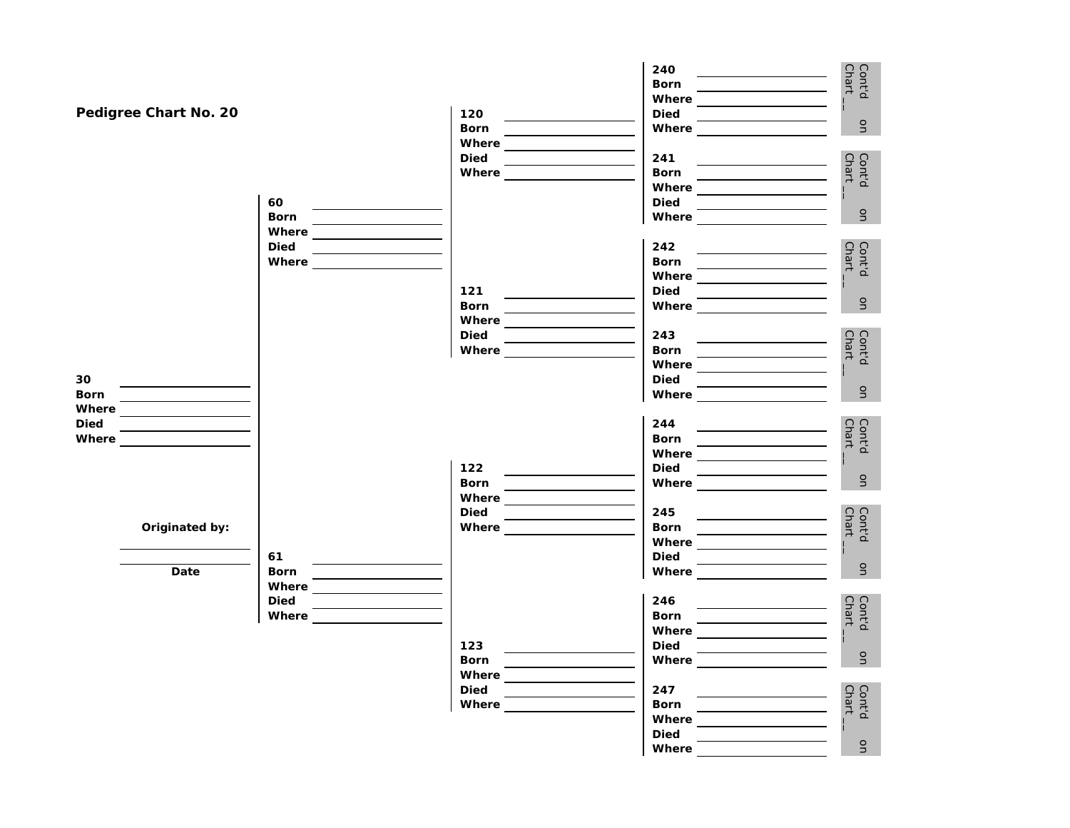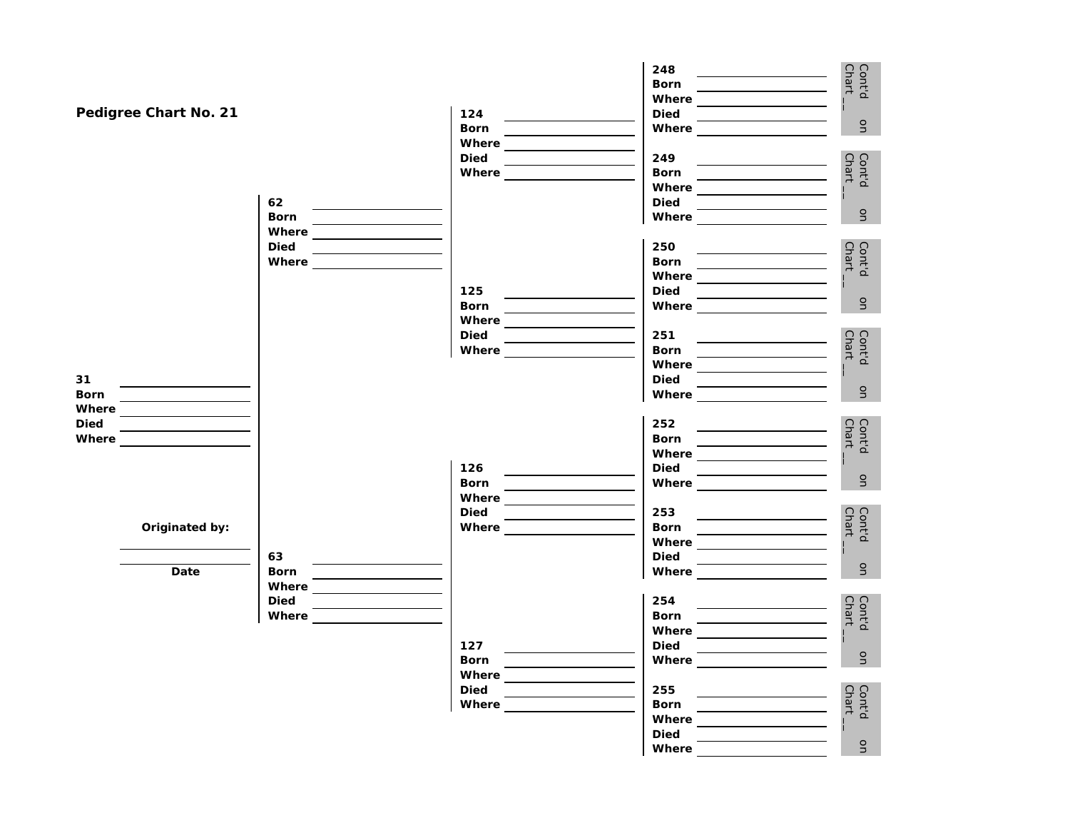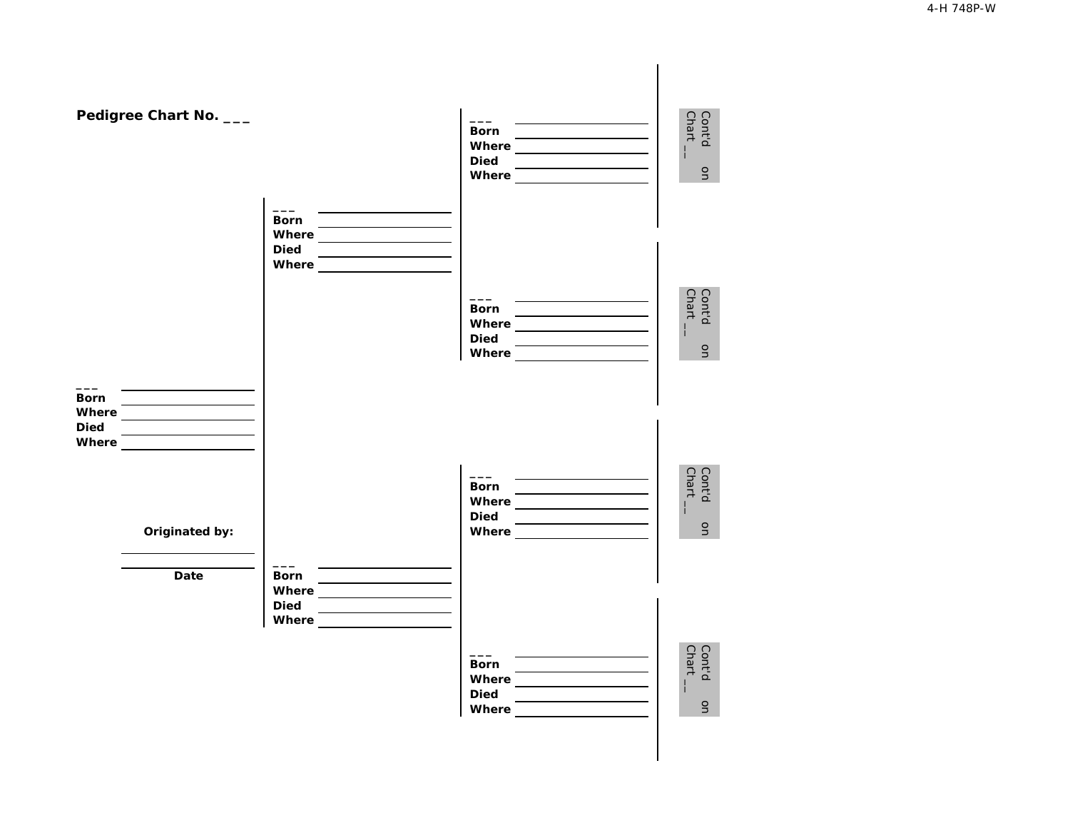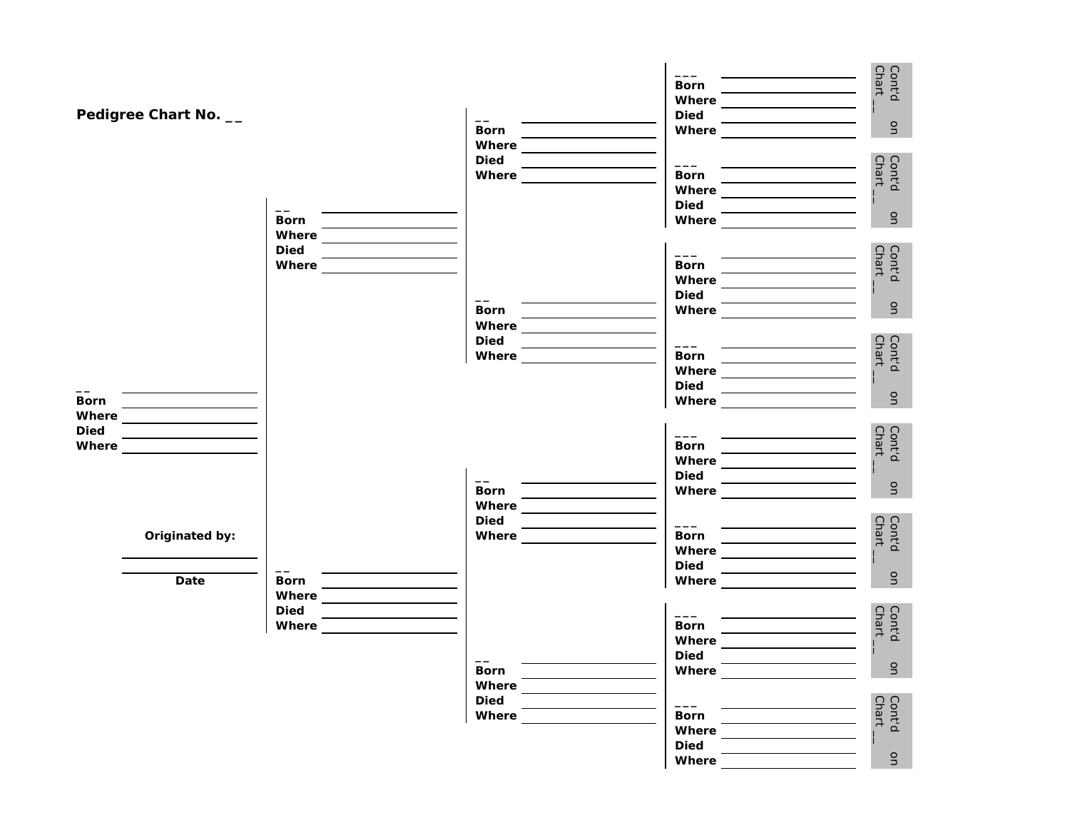